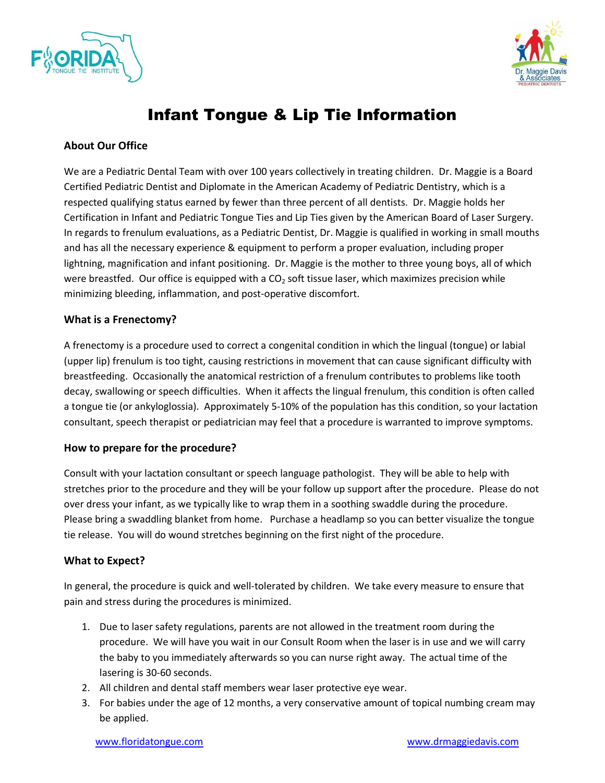



# Infant Tongue & Lip Tie Information

### **About Our Office**

We are a Pediatric Dental Team with over 100 years collectively in treating children. Dr. Maggie is a Board Certified Pediatric Dentist and Diplomate in the American Academy of Pediatric Dentistry, which is a respected qualifying status earned by fewer than three percent of all dentists. Dr. Maggie holds her Certification in Infant and Pediatric Tongue Ties and Lip Ties given by the American Board of Laser Surgery. In regards to frenulum evaluations, as a Pediatric Dentist, Dr. Maggie is qualified in working in small mouths and has all the necessary experience & equipment to perform a proper evaluation, including proper lightning, magnification and infant positioning. Dr. Maggie is the mother to three young boys, all of which were breastfed. Our office is equipped with a  $CO<sub>2</sub>$  soft tissue laser, which maximizes precision while minimizing bleeding, inflammation, and post-operative discomfort.

#### **What is a Frenectomy?**

A frenectomy is a procedure used to correct a congenital condition in which the lingual (tongue) or labial (upper lip) frenulum is too tight, causing restrictions in movement that can cause significant difficulty with breastfeeding. Occasionally the anatomical restriction of a frenulum contributes to problems like tooth decay, swallowing or speech difficulties. When it affects the lingual frenulum, this condition is often called a tongue tie (or ankyloglossia). Approximately 5-10% of the population has this condition, so your lactation consultant, speech therapist or pediatrician may feel that a procedure is warranted to improve symptoms.

#### **How to prepare for the procedure?**

Consult with your lactation consultant or speech language pathologist. They will be able to help with stretches prior to the procedure and they will be your follow up support after the procedure. Please do not over dress your infant, as we typically like to wrap them in a soothing swaddle during the procedure. Please bring a swaddling blanket from home. Purchase a headlamp so you can better visualize the tongue tie release. You will do wound stretches beginning on the first night of the procedure.

#### **What to Expect?**

In general, the procedure is quick and well-tolerated by children. We take every measure to ensure that pain and stress during the procedures is minimized.

- 1. Due to laser safety regulations, parents are not allowed in the treatment room during the procedure. We will have you wait in our Consult Room when the laser is in use and we will carry the baby to you immediately afterwards so you can nurse right away. The actual time of the lasering is 30-60 seconds.
- 2. All children and dental staff members wear laser protective eye wear.
- 3. For babies under the age of 12 months, a very conservative amount of topical numbing cream may be applied.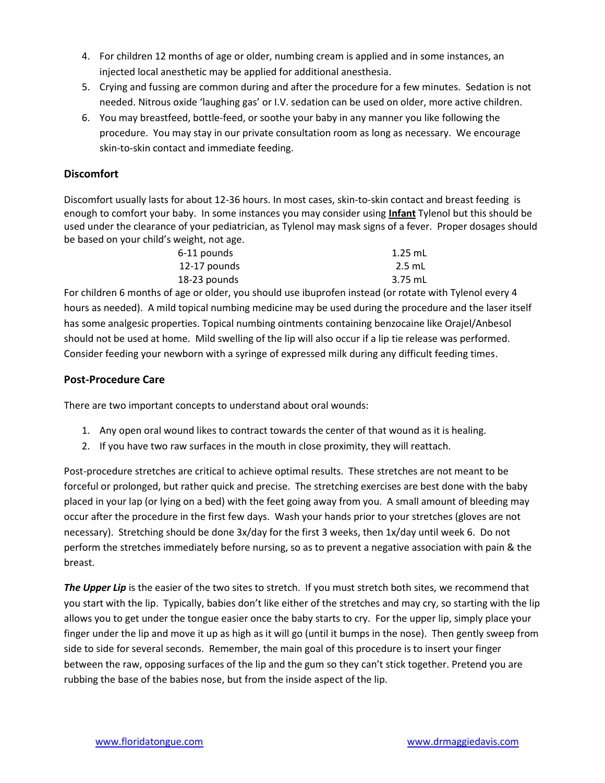- 4. For children 12 months of age or older, numbing cream is applied and in some instances, an injected local anesthetic may be applied for additional anesthesia.
- 5. Crying and fussing are common during and after the procedure for a few minutes. Sedation is not needed. Nitrous oxide 'laughing gas' or I.V. sedation can be used on older, more active children.
- 6. You may breastfeed, bottle-feed, or soothe your baby in any manner you like following the procedure. You may stay in our private consultation room as long as necessary. We encourage skin-to-skin contact and immediate feeding.

## **Discomfort**

Discomfort usually lasts for about 12-36 hours. In most cases, skin-to-skin contact and breast feeding is enough to comfort your baby. In some instances you may consider using **Infant** Tylenol but this should be used under the clearance of your pediatrician, as Tylenol may mask signs of a fever. Proper dosages should be based on your child's weight, not age.

| 6-11 pounds  | $1.25$ mL |
|--------------|-----------|
| 12-17 pounds | $2.5$ mL  |
| 18-23 pounds | 3.75 mL   |

For children 6 months of age or older, you should use ibuprofen instead (or rotate with Tylenol every 4 hours as needed). A mild topical numbing medicine may be used during the procedure and the laser itself has some analgesic properties. Topical numbing ointments containing benzocaine like Orajel/Anbesol should not be used at home. Mild swelling of the lip will also occur if a lip tie release was performed. Consider feeding your newborn with a syringe of expressed milk during any difficult feeding times.

#### **Post-Procedure Care**

There are two important concepts to understand about oral wounds:

- 1. Any open oral wound likes to contract towards the center of that wound as it is healing.
- 2. If you have two raw surfaces in the mouth in close proximity, they will reattach.

Post-procedure stretches are critical to achieve optimal results. These stretches are not meant to be forceful or prolonged, but rather quick and precise. The stretching exercises are best done with the baby placed in your lap (or lying on a bed) with the feet going away from you. A small amount of bleeding may occur after the procedure in the first few days. Wash your hands prior to your stretches (gloves are not necessary). Stretching should be done 3x/day for the first 3 weeks, then 1x/day until week 6. Do not perform the stretches immediately before nursing, so as to prevent a negative association with pain & the breast.

**The Upper Lip** is the easier of the two sites to stretch. If you must stretch both sites, we recommend that you start with the lip. Typically, babies don't like either of the stretches and may cry, so starting with the lip allows you to get under the tongue easier once the baby starts to cry. For the upper lip, simply place your finger under the lip and move it up as high as it will go (until it bumps in the nose). Then gently sweep from side to side for several seconds. Remember, the main goal of this procedure is to insert your finger between the raw, opposing surfaces of the lip and the gum so they can't stick together. Pretend you are rubbing the base of the babies nose, but from the inside aspect of the lip.